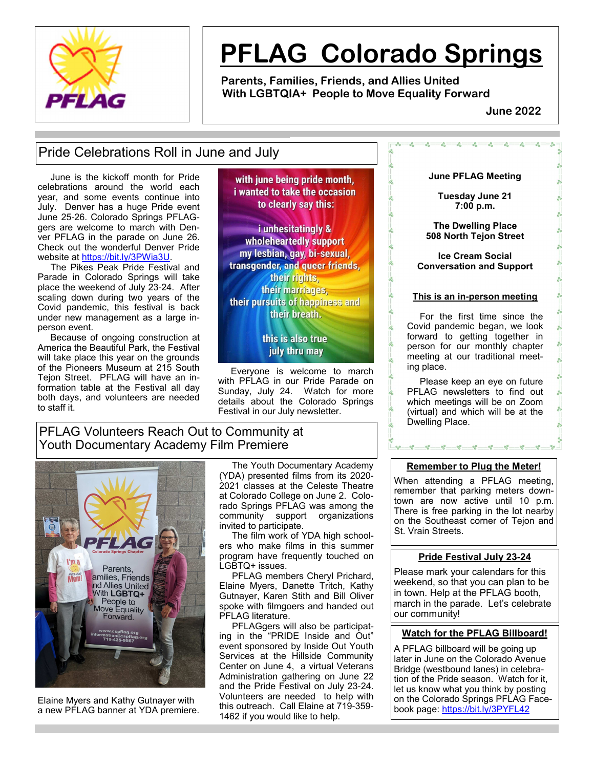

# **PFLAG Colorado Springs**

 $\frac{1}{20}$ 

 $\frac{6}{6}$ 

 $\frac{1}{20}$ 

 $\frac{1}{200}$ 

 $\frac{1}{200}$ 

 **Parents, Families, Friends, and Allies United With LGBTQIA+ People to Move Equality Forward** 

 **June 2022**

 $^{\circ}$  $-6^{\circ}$ 

# Pride Celebrations Roll in June and July

 June is the kickoff month for Pride celebrations around the world each year, and some events continue into July. Denver has a huge Pride event June 25-26. Colorado Springs PFLAGgers are welcome to march with Denver PFLAG in the parade on June 26. Check out the wonderful Denver Pride website at https://bit.ly/3PWia3U.

 The Pikes Peak Pride Festival and Parade in Colorado Springs will take place the weekend of July 23-24. After scaling down during two years of the Covid pandemic, this festival is back under new management as a large inperson event.

 Because of ongoing construction at America the Beautiful Park, the Festival will take place this year on the grounds of the Pioneers Museum at 215 South Tejon Street. PFLAG will have an information table at the Festival all day both days, and volunteers are needed to staff it.

with june being pride month. i wanted to take the occasion to clearly say this:

i unhesitatingly & wholeheartedly support my lesbian, gay, bi-sexual, transgender, and queer friends, their rights, their marriages, their pursuits of happiness and their breath.

> this is also true july thru may

 Everyone is welcome to march with PFLAG in our Pride Parade on Sunday, July 24. Watch for more details about the Colorado Springs Festival in our July newsletter.

# PFLAG Volunteers Reach Out to Community at Youth Documentary Academy Film Premiere



Elaine Myers and Kathy Gutnayer with a new PFLAG banner at YDA premiere.

 The Youth Documentary Academy (YDA) presented films from its 2020- 2021 classes at the Celeste Theatre at Colorado College on June 2. Colorado Springs PFLAG was among the community support organizations invited to participate.

 The film work of YDA high schoolers who make films in this summer program have frequently touched on LGBTQ+ issues.

 PFLAG members Cheryl Prichard, Elaine Myers, Danette Tritch, Kathy Gutnayer, Karen Stith and Bill Oliver spoke with filmgoers and handed out PFLAG literature.

 PFLAGgers will also be participating in the "PRIDE Inside and Out" event sponsored by Inside Out Youth Services at the Hillside Community Center on June 4, a virtual Veterans Administration gathering on June 22 and the Pride Festival on July 23-24. Volunteers are needed to help with this outreach. Call Elaine at 719-359- 1462 if you would like to help.

## **June PFLAG Meeting**

 $^{\circ}$  $-6^{\circ}$ 

 $^{\circ}$ 

 $^{\circ}$ 

**Tuesday June 21 7:00 p.m.**

**The Dwelling Place 508 North Tejon Street**

**Ice Cream Social Conversation and Support**

#### **This is an in-person meeting**

 For the first time since the Covid pandemic began, we look forward to getting together in person for our monthly chapter meeting at our traditional meeting place.

 Please keep an eye on future PFLAG newsletters to find out which meetings will be on Zoom (virtual) and which will be at the Dwelling Place.

#### **Remember to Plug the Meter!**

When attending a PFLAG meeting, remember that parking meters downtown are now active until 10 p.m. There is free parking in the lot nearby on the Southeast corner of Tejon and St. Vrain Streets.

#### **Pride Festival July 23-24**

Please mark your calendars for this weekend, so that you can plan to be in town. Help at the PFLAG booth, march in the parade. Let's celebrate our community!

# **Watch for the PFLAG Billboard!**

A PFLAG billboard will be going up later in June on the Colorado Avenue Bridge (westbound lanes) in celebration of the Pride season. Watch for it, let us know what you think by posting on the Colorado Springs PFLAG Facebook page: https://bit.ly/3PYFL42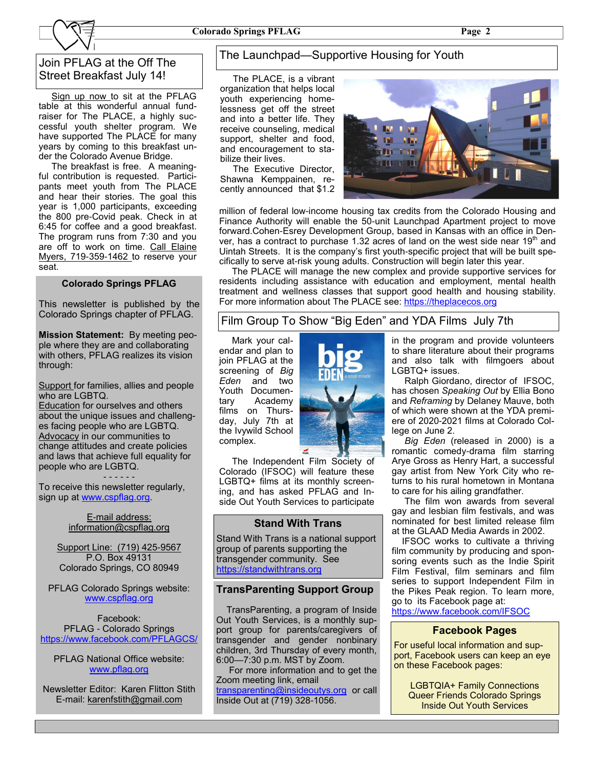# Join PFLAG at the Off The Street Breakfast July 14!

Sign up now to sit at the PFLAG table at this wonderful annual fundraiser for The PLACE, a highly successful youth shelter program. We have supported The PLACE for many years by coming to this breakfast under the Colorado Avenue Bridge.

 The breakfast is free. A meaningful contribution is requested. Participants meet youth from The PLACE and hear their stories. The goal this year is 1,000 participants, exceeding the 800 pre-Covid peak. Check in at 6:45 for coffee and a good breakfast. The program runs from 7:30 and you are off to work on time. Call Elaine Myers, 719-359-1462 to reserve your seat.

#### **Colorado Springs PFLAG**

This newsletter is published by the Colorado Springs chapter of PFLAG.

**Mission Statement:** By meeting people where they are and collaborating with others, PFLAG realizes its vision through:

Support for families, allies and people who are LGBTQ.

**Education** for ourselves and others about the unique issues and challenges facing people who are LGBTQ. Advocacy in our communities to change attitudes and create policies and laws that achieve full equality for people who are LGBTQ.

- - - - - -

To receive this newsletter regularly, sign up at www.cspflag.org.

#### E-mail address: information@cspflag.org

Support Line: (719) 425-9567 P.O. Box 49131 Colorado Springs, CO 80949

PFLAG Colorado Springs website: www.cspflag.org

Facebook: PFLAG - Colorado Springs https://www.facebook.com/PFLAGCS/

PFLAG National Office website: www.pflag.org

Newsletter Editor: Karen Flitton Stith E-mail: karenfstith@gmail.com

# The Launchpad—Supportive Housing for Youth

 The PLACE, is a vibrant organization that helps local youth experiencing homelessness get off the street and into a better life. They receive counseling, medical support, shelter and food, and encouragement to stabilize their lives.

 The Executive Director, Shawna Kemppainen, recently announced that \$1.2



million of federal low-income housing tax credits from the Colorado Housing and Finance Authority will enable the 50-unit Launchpad Apartment project to move forward.Cohen-Esrey Development Group, based in Kansas with an office in Denver, has a contract to purchase 1.32 acres of land on the west side near  $19<sup>th</sup>$  and Uintah Streets. It is the company's first youth-specific project that will be built specifically to serve at-risk young adults. Construction will begin later this year.

 The PLACE will manage the new complex and provide supportive services for residents including assistance with education and employment, mental health treatment and wellness classes that support good health and housing stability. For more information about The PLACE see: https://theplacecos.org

# Film Group To Show "Big Eden" and YDA Films July 7th

 Mark your calendar and plan to join PFLAG at the screening of *Big Eden* and two Youth Documentary Academy films on Thursday, July 7th at the Ivywild School complex.



 The Independent Film Society of Colorado (IFSOC) will feature these LGBTQ+ films at its monthly screening, and has asked PFLAG and Inside Out Youth Services to participate

## **Stand With Trans**

Stand With Trans is a national support group of parents supporting the transgender community. See https://standwithtrans.org

#### **TransParenting Support Group**

 TransParenting, a program of Inside Out Youth Services, is a monthly support group for parents/caregivers of transgender and gender nonbinary children, 3rd Thursday of every month, 6:00—7:30 p.m. MST by Zoom.

 For more information and to get the Zoom meeting link, email transparenting@insideoutys.org or call Inside Out at (719) 328-1056.

in the program and provide volunteers to share literature about their programs and also talk with filmgoers about LGBTQ+ issues.

 Ralph Giordano, director of IFSOC, has chosen *Speaking Out* by Ellia Bono and *Reframing* by Delaney Mauve, both of which were shown at the YDA premiere of 2020-2021 films at Colorado College on June 2.

 *Big Eden* (released in 2000) is a romantic comedy-drama film starring Arye Gross as Henry Hart, a successful gay artist from New York City who returns to his rural hometown in Montana to care for his ailing grandfather.

 The film won awards from several gay and lesbian film festivals, and was nominated for best limited release film at the GLAAD Media Awards in 2002.

 IFSOC works to cultivate a thriving film community by producing and sponsoring events such as the Indie Spirit Film Festival, film seminars and film series to support Independent Film in the Pikes Peak region. To learn more, go to its Facebook page at:

https://www.facebook.com/IFSOC

## **Facebook Pages**

For useful local information and support, Facebook users can keep an eye on these Facebook pages:

LGBTQIA+ Family Connections Queer Friends Colorado Springs Inside Out Youth Services